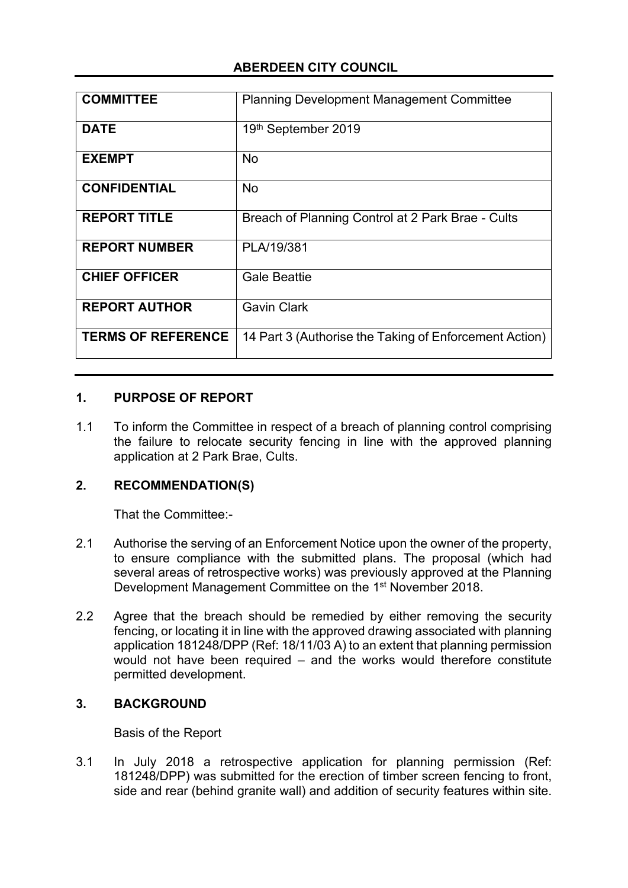# **ABERDEEN CITY COUNCIL**

| <b>COMMITTEE</b>          | <b>Planning Development Management Committee</b>       |
|---------------------------|--------------------------------------------------------|
| <b>DATE</b>               | 19th September 2019                                    |
| <b>EXEMPT</b>             | <b>No</b>                                              |
| <b>CONFIDENTIAL</b>       | <b>No</b>                                              |
| <b>REPORT TITLE</b>       | Breach of Planning Control at 2 Park Brae - Cults      |
| <b>REPORT NUMBER</b>      | PLA/19/381                                             |
| <b>CHIEF OFFICER</b>      | <b>Gale Beattie</b>                                    |
| <b>REPORT AUTHOR</b>      | <b>Gavin Clark</b>                                     |
| <b>TERMS OF REFERENCE</b> | 14 Part 3 (Authorise the Taking of Enforcement Action) |

#### **1. PURPOSE OF REPORT**

1.1 To inform the Committee in respect of a breach of planning control comprising the failure to relocate security fencing in line with the approved planning application at 2 Park Brae, Cults.

#### **2. RECOMMENDATION(S)**

That the Committee:-

- 2.1 Authorise the serving of an Enforcement Notice upon the owner of the property, to ensure compliance with the submitted plans. The proposal (which had several areas of retrospective works) was previously approved at the Planning Development Management Committee on the 1<sup>st</sup> November 2018.
- 2.2 Agree that the breach should be remedied by either removing the security fencing, or locating it in line with the approved drawing associated with planning application 181248/DPP (Ref: 18/11/03 A) to an extent that planning permission would not have been required – and the works would therefore constitute permitted development.

#### **3. BACKGROUND**

Basis of the Report

3.1 In July 2018 a retrospective application for planning permission (Ref: 181248/DPP) was submitted for the erection of timber screen fencing to front, side and rear (behind granite wall) and addition of security features within site.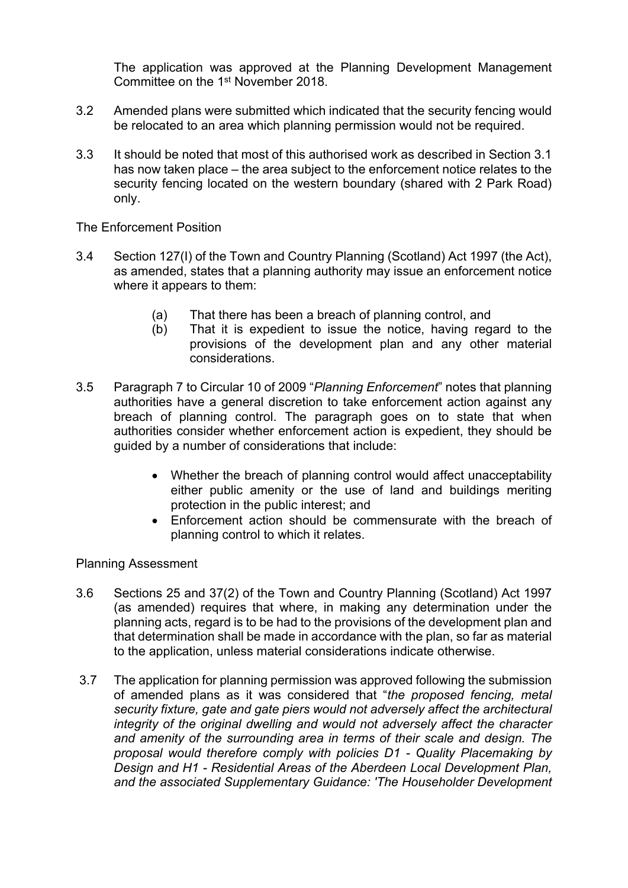The application was approved at the Planning Development Management Committee on the 1<sup>st</sup> November 2018.

- 3.2 Amended plans were submitted which indicated that the security fencing would be relocated to an area which planning permission would not be required.
- 3.3 It should be noted that most of this authorised work as described in Section 3.1 has now taken place – the area subject to the enforcement notice relates to the security fencing located on the western boundary (shared with 2 Park Road) only.

The Enforcement Position

- 3.4 Section 127(I) of the Town and Country Planning (Scotland) Act 1997 (the Act), as amended, states that a planning authority may issue an enforcement notice where it appears to them:
	- (a) That there has been a breach of planning control, and
	- (b) That it is expedient to issue the notice, having regard to the provisions of the development plan and any other material considerations.
- 3.5 Paragraph 7 to Circular 10 of 2009 "*Planning Enforcement*" notes that planning authorities have a general discretion to take enforcement action against any breach of planning control. The paragraph goes on to state that when authorities consider whether enforcement action is expedient, they should be guided by a number of considerations that include:
	- Whether the breach of planning control would affect unacceptability either public amenity or the use of land and buildings meriting protection in the public interest; and
	- Enforcement action should be commensurate with the breach of planning control to which it relates.

Planning Assessment

- 3.6 Sections 25 and 37(2) of the Town and Country Planning (Scotland) Act 1997 (as amended) requires that where, in making any determination under the planning acts, regard is to be had to the provisions of the development plan and that determination shall be made in accordance with the plan, so far as material to the application, unless material considerations indicate otherwise.
- 3.7 The application for planning permission was approved following the submission of amended plans as it was considered that "*the proposed fencing, metal security fixture, gate and gate piers would not adversely affect the architectural integrity of the original dwelling and would not adversely affect the character and amenity of the surrounding area in terms of their scale and design. The proposal would therefore comply with policies D1 - Quality Placemaking by Design and H1 - Residential Areas of the Aberdeen Local Development Plan, and the associated Supplementary Guidance: 'The Householder Development*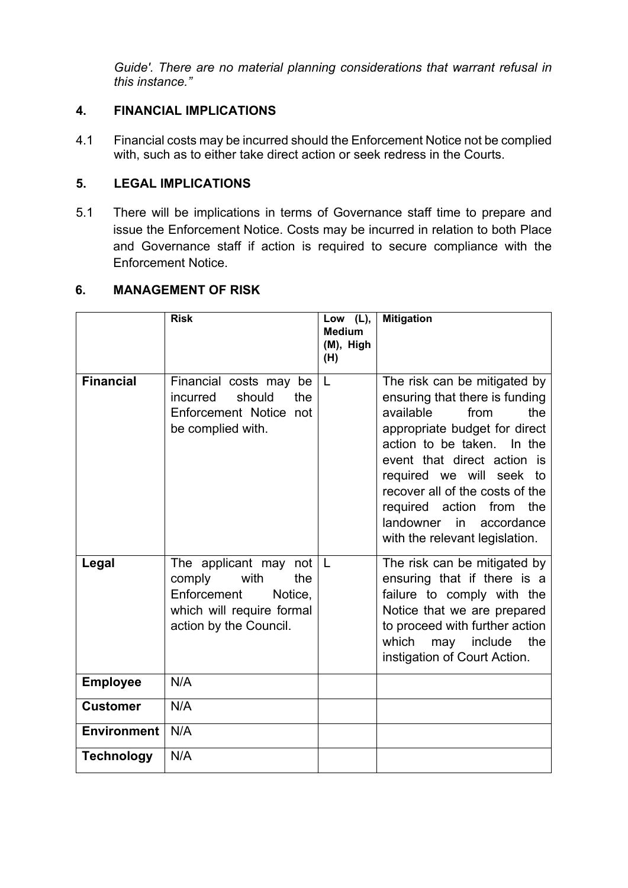*Guide'. There are no material planning considerations that warrant refusal in this instance."*

# **4. FINANCIAL IMPLICATIONS**

4.1 Financial costs may be incurred should the Enforcement Notice not be complied with, such as to either take direct action or seek redress in the Courts.

## **5. LEGAL IMPLICATIONS**

5.1 There will be implications in terms of Governance staff time to prepare and issue the Enforcement Notice. Costs may be incurred in relation to both Place and Governance staff if action is required to secure compliance with the Enforcement Notice.

## **6. MANAGEMENT OF RISK**

|                    | <b>Risk</b>                                                                                                                     | Low $(L)$ ,<br><b>Medium</b><br>(M), High<br>(H) | <b>Mitigation</b>                                                                                                                                                                                                                                                                                                                                      |
|--------------------|---------------------------------------------------------------------------------------------------------------------------------|--------------------------------------------------|--------------------------------------------------------------------------------------------------------------------------------------------------------------------------------------------------------------------------------------------------------------------------------------------------------------------------------------------------------|
| <b>Financial</b>   | Financial costs may<br>be<br>should<br>incurred<br>the<br>Enforcement Notice not<br>be complied with.                           | L                                                | The risk can be mitigated by<br>ensuring that there is funding<br>available<br>the<br>from<br>appropriate budget for direct<br>action to be taken. In the<br>event that direct action is<br>required we will seek to<br>recover all of the costs of the<br>required action from the<br>landowner<br>in<br>accordance<br>with the relevant legislation. |
| Legal              | The applicant may not<br>comply<br>with<br>the<br>Enforcement<br>Notice.<br>which will require formal<br>action by the Council. | L                                                | The risk can be mitigated by<br>ensuring that if there is a<br>failure to comply with the<br>Notice that we are prepared<br>to proceed with further action<br>which<br>may include<br>the<br>instigation of Court Action.                                                                                                                              |
| <b>Employee</b>    | N/A                                                                                                                             |                                                  |                                                                                                                                                                                                                                                                                                                                                        |
| <b>Customer</b>    | N/A                                                                                                                             |                                                  |                                                                                                                                                                                                                                                                                                                                                        |
| <b>Environment</b> | N/A                                                                                                                             |                                                  |                                                                                                                                                                                                                                                                                                                                                        |
| <b>Technology</b>  | N/A                                                                                                                             |                                                  |                                                                                                                                                                                                                                                                                                                                                        |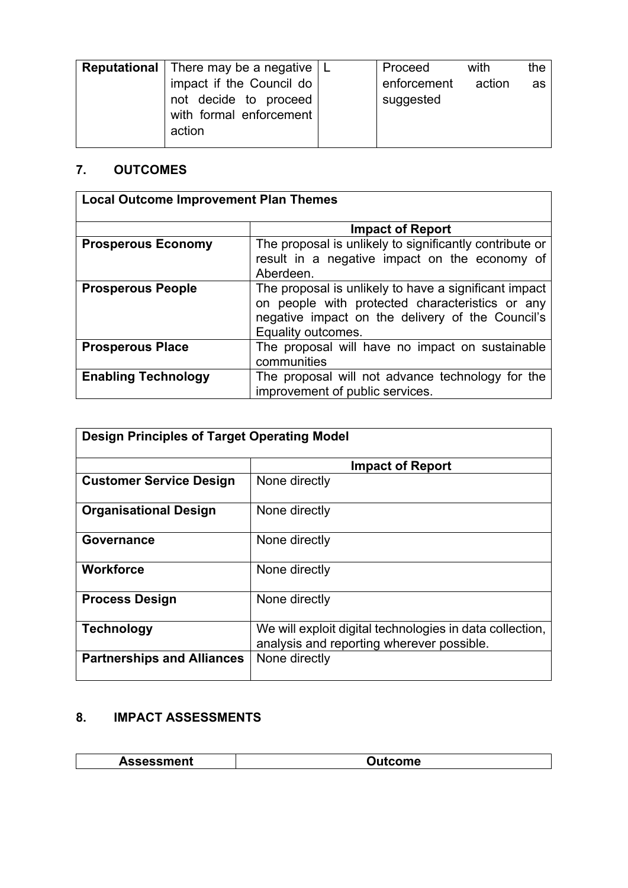| <b>Reputational</b>   There may be a negative $ L $<br>impact if the Council do<br>not decide to proceed<br>with formal enforcement<br>action |  | Proceed<br>enforcement<br>suggested | with<br>action | the<br>as |
|-----------------------------------------------------------------------------------------------------------------------------------------------|--|-------------------------------------|----------------|-----------|
|-----------------------------------------------------------------------------------------------------------------------------------------------|--|-------------------------------------|----------------|-----------|

# **7. OUTCOMES**

| <b>Local Outcome Improvement Plan Themes</b> |                                                                                                                                                                                    |
|----------------------------------------------|------------------------------------------------------------------------------------------------------------------------------------------------------------------------------------|
|                                              | <b>Impact of Report</b>                                                                                                                                                            |
| <b>Prosperous Economy</b>                    | The proposal is unlikely to significantly contribute or<br>result in a negative impact on the economy of<br>Aberdeen.                                                              |
| <b>Prosperous People</b>                     | The proposal is unlikely to have a significant impact<br>on people with protected characteristics or any<br>negative impact on the delivery of the Council's<br>Equality outcomes. |
| <b>Prosperous Place</b>                      | The proposal will have no impact on sustainable<br>communities                                                                                                                     |
| <b>Enabling Technology</b>                   | The proposal will not advance technology for the<br>improvement of public services.                                                                                                |

| <b>Design Principles of Target Operating Model</b> |                                                                                                       |
|----------------------------------------------------|-------------------------------------------------------------------------------------------------------|
|                                                    |                                                                                                       |
|                                                    | <b>Impact of Report</b>                                                                               |
| <b>Customer Service Design</b>                     | None directly                                                                                         |
| <b>Organisational Design</b>                       | None directly                                                                                         |
| Governance                                         | None directly                                                                                         |
| <b>Workforce</b>                                   | None directly                                                                                         |
| <b>Process Design</b>                              | None directly                                                                                         |
| <b>Technology</b>                                  | We will exploit digital technologies in data collection,<br>analysis and reporting wherever possible. |
| <b>Partnerships and Alliances</b>                  | None directly                                                                                         |

# **8. IMPACT ASSESSMENTS**

| ออษออกเษาเเ |  |
|-------------|--|